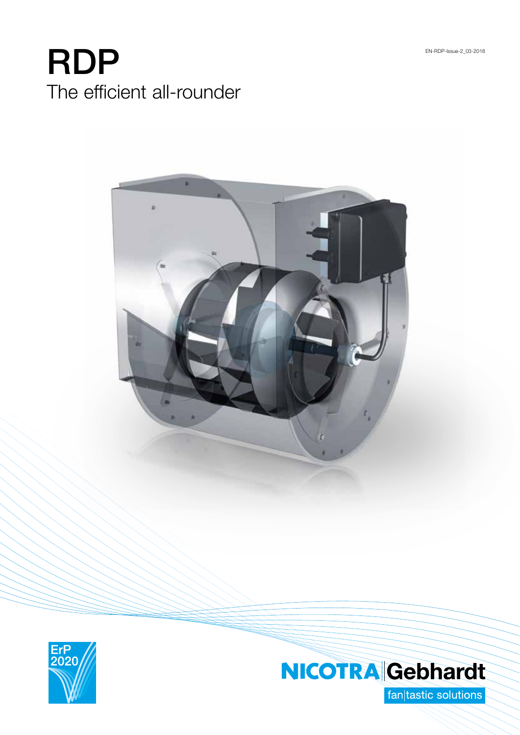# RDP The efficient all-rounder





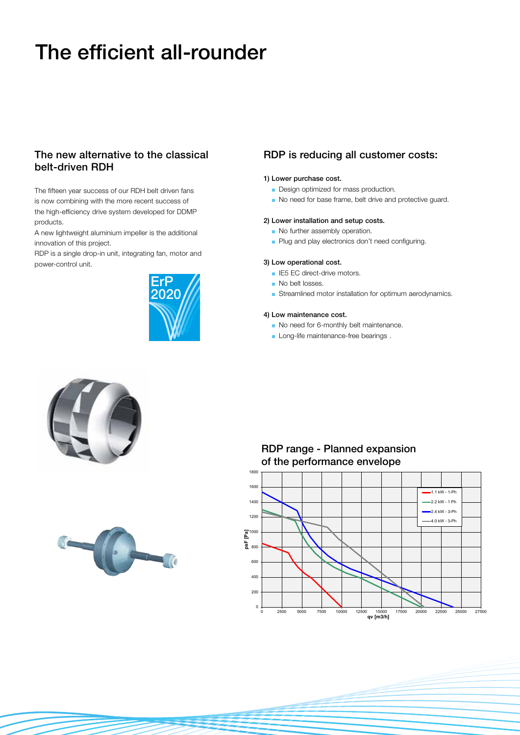## The efficient all-rounder

## The new alternative to the classical belt-driven RDH

The fifteen year success of our RDH belt driven fans is now combining with the more recent success of the high-efficiency drive system developed for DDMP products.

A new lightweight aluminium impeller is the additional innovation of this project.

RDP is a single drop-in unit, integrating fan, motor and power-control unit.



### RDP is reducing all customer costs:

#### 1) Lower purchase cost.

- Design optimized for mass production.
- No need for base frame, belt drive and protective guard.

#### 2) Lower installation and setup costs.

- No further assembly operation.
- Plug and play electronics don't need configuring.

#### 3) Low operational cost.

- **IE5 EC direct-drive motors.**
- No belt losses.
- $\blacksquare$  Streamlined motor installation for optimum aerodynamics.

#### 4) Low maintenance cost.

No need for 6-monthly belt maintenance.

RDP range - Planned expansion

Long-life maintenance-free bearings.





#### 0 200 400 600 800 **psF [Pa]**  $\bar{a}^{1000}$ 1200 1400 1600 1800 0 2500 5000 7500 10000 12500 15000 17500 20000 22500 25000 27500 **qv [m3/h]** of the performance envelope 1.1 kW - 1-Ph 2.2 kW - 1 Ph  $-2.4$  kW - 3-Ph 4.0 kW - 3-Ph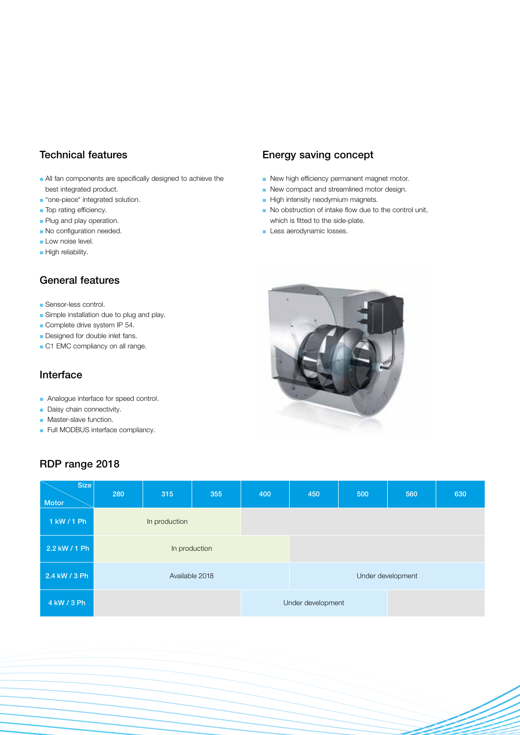## Technical features

- $\blacksquare$  All fan components are specifically designed to achieve the best integrated product.
- **n** "one-piece" integrated solution.
- Top rating efficiency.
- **Plug and play operation.**
- No configuration needed.
- Low noise level.
- High reliability.

## General features

- **Sensor-less control.**
- Simple installation due to plug and play.
- $\blacksquare$  Complete drive system IP 54.
- Designed for double inlet fans.
- C1 EMC compliancy on all range.

## Interface

- Analogue interface for speed control.
- $\blacksquare$  Daisy chain connectivity.
- Master-slave function.
- Full MODBUS interface compliancy.

## RDP range 2018

## Energy saving concept

- $\blacksquare$  New high efficiency permanent magnet motor.
- $\blacksquare$  New compact and streamlined motor design.
- High intensity neodymium magnets.
- $\blacksquare$  No obstruction of intake flow due to the control unit, which is fitted to the side-plate.
- Less aerodynamic losses.



| Size<br><b>Motor</b> | 280            | 315 | 355 | 400 | 450               | 500 | 560 | 630 |
|----------------------|----------------|-----|-----|-----|-------------------|-----|-----|-----|
| 1 kW / 1 Ph          | In production  |     |     |     |                   |     |     |     |
| 2.2 kW / 1 Ph        | In production  |     |     |     |                   |     |     |     |
| 2.4 kW / 3 Ph        | Available 2018 |     |     |     | Under development |     |     |     |
| 4 kW / 3 Ph          |                |     |     |     | Under development |     |     |     |